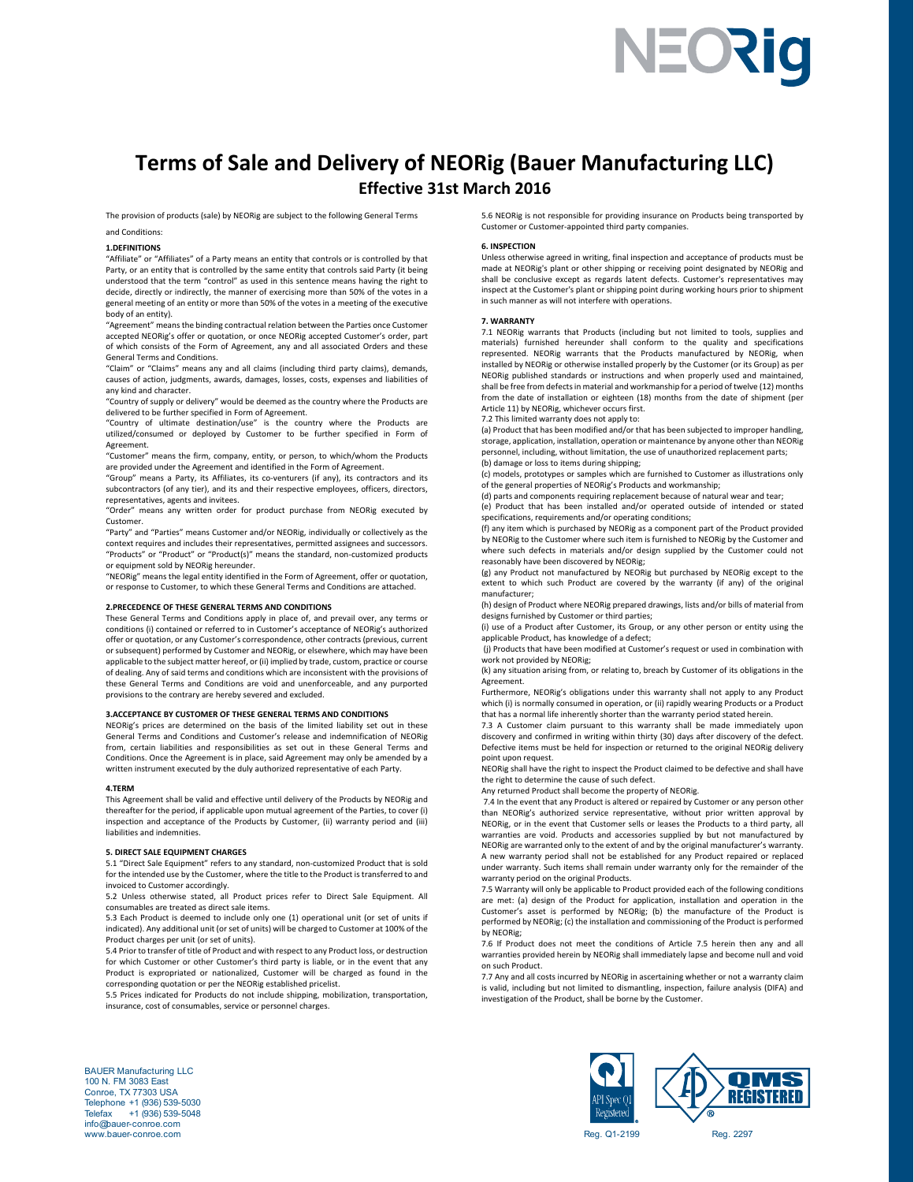# NEORig

# **Terms of Sale and Delivery of NEORig (Bauer Manufacturing LLC) Effective 31st March 2016**

The provision of products (sale) by NEORig are subject to the following General Terms

and Conditions:

### **1.DEFINITIONS**

"Affiliate" or "Affiliates" of a Party means an entity that controls or is controlled by that Party, or an entity that is controlled by the same entity that controls said Party (it being understood that the term "control" as used in this sentence means having the right to decide, directly or indirectly, the manner of exercising more than 50% of the votes in a general meeting of an entity or more than 50% of the votes in a meeting of the executive body of an entity).

"Agreement" means the binding contractual relation between the Parties once Customer accepted NEORig's offer or quotation, or once NEORig accepted Customer's order, part of which consists of the Form of Agreement, any and all associated Orders and the General Terms and Conditions.

"Claim" or "Claims" means any and all claims (including third party claims), demands, causes of action, judgments, awards, damages, losses, costs, expenses and liabilities of any kind and character.

"Country of supply or delivery" would be deemed as the country where the Products are delivered to be further specified in Form of Agreement.

"Country of ultimate destination/use" is the country where the Products are utilized/consumed or deployed by Customer to be further specified in Form of Agreement.

"Customer" means the firm, company, entity, or person, to which/whom the Products are provided under the Agreement and identified in the Form of Agreement.

"Group" means a Party, its Affiliates, its co‐venturers (if any), its contractors and its subcontractors (of any tier), and its and their respective employees, officers, directors, representatives, agents and invitees.

"Order" means any written order for product purchase from NEORig executed by Customer.

"Party" and "Parties" means Customer and/or NEORig, individually or collectively as the context requires and includes their representatives, permitted assignees and successors. "Products" or "Product" or "Product(s)" means the standard, non‐customized products or equipment sold by NEORig hereunder.

"NEORig" means the legal entity identified in the Form of Agreement, offer or quotation, or response to Customer, to which these General Terms and Conditions are attached.

# **2.PRECEDENCE OF THESE GENERAL TERMS AND CONDITIONS**

These General Terms and Conditions apply in place of, and prevail over, any terms or conditions (i) contained or referred to in Customer's acceptance of NEORig's authorized offer or quotation, or any Customer's correspondence, other contracts (previous, current or subsequent) performed by Customer and NEORig, or elsewhere, which may have been applicable to the subject matter hereof, or (ii) implied by trade, custom, practice or course of dealing. Any of said terms and conditions which are inconsistent with the provisions of these General Terms and Conditions are void and unenforceable, and any purported provisions to the contrary are hereby severed and excluded.

# **3.ACCEPTANCE BY CUSTOMER OF THESE GENERAL TERMS AND CONDITIONS**

NEORig's prices are determined on the basis of the limited liability set out in these General Terms and Conditions and Customer's release and indemnification of NEORig from, certain liabilities and responsibilities as set out in these General Terms and Conditions. Once the Agreement is in place, said Agreement may only be amended by a written instrument executed by the duly authorized representative of each Party.

#### **4.TERM**

This Agreement shall be valid and effective until delivery of the Products by NEORig and thereafter for the period, if applicable upon mutual agreement of the Parties, to cover (i) inspection and acceptance of the Products by Customer, (ii) warranty period and (iii) liabilities and indemnities.

# **5. DIRECT SALE EQUIPMENT CHARGES**

5.1 "Direct Sale Equipment" refers to any standard, non‐customized Product that is sold for the intended use by the Customer, where the title to the Product is transferred to and invoiced to Customer accordingly.

5.2 Unless otherwise stated, all Product prices refer to Direct Sale Equipment. All consumables are treated as direct sale items.

5.3 Each Product is deemed to include only one (1) operational unit (or set of units if indicated). Any additional unit (or set of units) will be charged to Customer at 100% of the Product charges per unit (or set of units).

5.4 Prior to transfer of title of Product and with respect to any Product loss, or destruction for which Customer or other Customer's third party is liable, or in the event that any Product is expropriated or nationalized, Customer will be charged as found in the corresponding quotation or per the NEORig established pricelist.

5.5 Prices indicated for Products do not include shipping, mobilization, transportation, insurance, cost of consumables, service or personnel charges.

5.6 NEORig is not responsible for providing insurance on Products being transported by Customer or Customer‐appointed third party companies.

#### **6. INSPECTION**

Unless otherwise agreed in writing, final inspection and acceptance of products must be made at NEORig's plant or other shipping or receiving point designated by NEORig and shall be conclusive except as regards latent defects. Customer's representatives may inspect at the Customer's plant or shipping point during working hours prior to shipment in such manner as will not interfere with operations.

### **7. WARRANTY**

7.1 NEORig warrants that Products (including but not limited to tools, supplies and materials) furnished hereunder shall conform to the quality and specifications represented. NEORig warrants that the Products manufactured by NEORig, when installed by NEORig or otherwise installed properly by the Customer (or its Group) as per NEORig published standards or instructions and when properly used and maintained, shall be free from defects in material and workmanship for a period of twelve (12) months from the date of installation or eighteen (18) months from the date of shipment (per Article 11) by NEORig, whichever occurs first.

7.2 This limited warranty does not apply to:

(a) Product that has been modified and/or that has been subjected to improper handling, storage, application, installation, operation or maintenance by anyone other than NEORig personnel, including, without limitation, the use of unauthorized replacement parts; (b) damage or loss to items during shipping;

(c) models, prototypes or samples which are furnished to Customer as illustrations only of the general properties of NEORig's Products and workmanship;

(d) parts and components requiring replacement because of natural wear and tear; (e) Product that has been installed and/or operated outside of intended or stated specifications, requirements and/or operating conditions;

(f) any item which is purchased by NEORig as a component part of the Product provided by NEORig to the Customer where such item is furnished to NEORig by the Customer and where such defects in materials and/or design supplied by the Customer could not reasonably have been discovered by NEORig;

(g) any Product not manufactured by NEORig but purchased by NEORig except to the extent to which such Product are covered by the warranty (if any) of the original manufacturer;

(h) design of Product where NEORig prepared drawings, lists and/or bills of material from designs furnished by Customer or third parties;

(i) use of a Product after Customer, its Group, or any other person or entity using the applicable Product, has knowledge of a defect;

 (j) Products that have been modified at Customer's request or used in combination with work not provided by NEORig;

(k) any situation arising from, or relating to, breach by Customer of its obligations in the Agreement.

Furthermore, NEORig's obligations under this warranty shall not apply to any Product which (i) is normally consumed in operation, or (ii) rapidly wearing Products or a Product that has a normal life inherently shorter than the warranty period stated herein.

7.3 A Customer claim pursuant to this warranty shall be made immediately upon discovery and confirmed in writing within thirty (30) days after discovery of the defect. Defective items must be held for inspection or returned to the original NEORig delivery point upon request.

NEORig shall have the right to inspect the Product claimed to be defective and shall have the right to determine the cause of such defect.

Any returned Product shall become the property of NEORig.

 7.4 In the event that any Product is altered or repaired by Customer or any person other than NEORig's authorized service representative, without prior written approval by NEORig, or in the event that Customer sells or leases the Products to a third party, all warranties are void. Products and accessories supplied by but not manufactured by NEORig are warranted only to the extent of and by the original manufacturer's warranty. A new warranty period shall not be established for any Product repaired or replaced under warranty. Such items shall remain under warranty only for the remainder of the warranty period on the original Products.

7.5 Warranty will only be applicable to Product provided each of the following conditions are met: (a) design of the Product for application, installation and operation in the Customer's asset is performed by NEORig; (b) the manufacture of the Product is performed by NEORig; (c) the installation and commissioning of the Product is performed by NEORig;

7.6 If Product does not meet the conditions of Article 7.5 herein then any and all warranties provided herein by NEORig shall immediately lapse and become null and void on such Product.

7.7 Any and all costs incurred by NEORig in ascertaining whether or not a warranty claim is valid, including but not limited to dismantling, inspection, failure analysis (DIFA) and investigation of the Product, shall be borne by the Customer.



**NMS** REGISTERED  $PI$  Spec $O$ Registered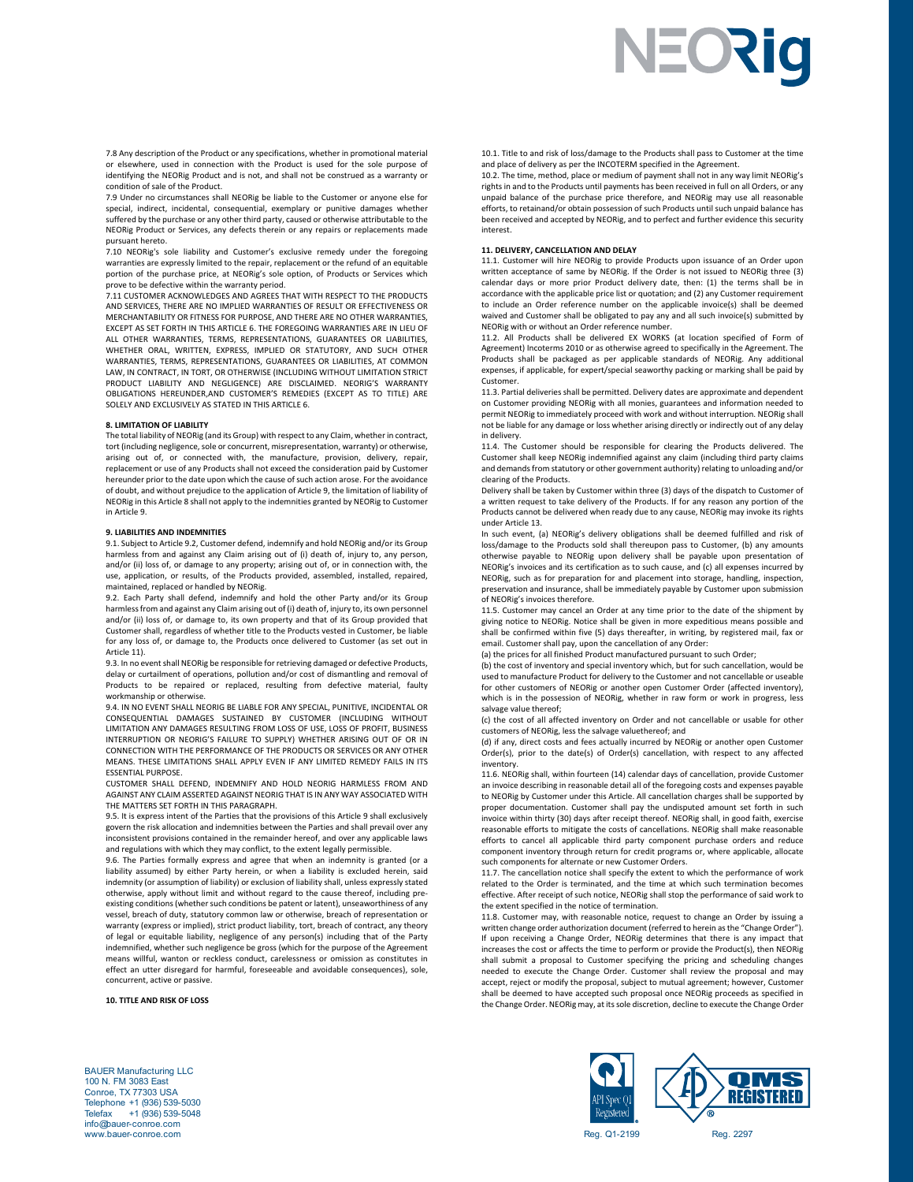7.8 Any description of the Product or any specifications, whether in promotional material or elsewhere, used in connection with the Product is used for the sole purpose of identifying the NEORig Product and is not, and shall not be construed as a warranty or condition of sale of the Product.

7.9 Under no circumstances shall NEORig be liable to the Customer or anyone else for special, indirect, incidental, consequential, exemplary or punitive damages whether suffered by the purchase or any other third party, caused or otherwise attributable to the NEORig Product or Services, any defects therein or any repairs or replacements made pursuant hereto.

.<br>7.10 NEORig's sole liability and Customer's exclusive remedy under the foregoing warranties are expressly limited to the repair, replacement or the refund of an equitable portion of the purchase price, at NEORig's sole option, of Products or Services which prove to be defective within the warranty period.

7.11 CUSTOMER ACKNOWLEDGES AND AGREES THAT WITH RESPECT TO THE PRODUCTS AND SERVICES, THERE ARE NO IMPLIED WARRANTIES OF RESULT OR EFFECTIVENESS OR MERCHANTABILITY OR FITNESS FOR PURPOSE, AND THERE ARE NO OTHER WARRANTIES, EXCEPT AS SET FORTH IN THIS ARTICLE 6. THE FOREGOING WARRANTIES ARE IN LIEU OF ALL OTHER WARRANTIES, TERMS, REPRESENTATIONS, GUARANTEES OR LIABILITIES, WHETHER ORAL, WRITTEN, EXPRESS, IMPLIED OR STATUTORY, AND SUCH OTHER WARRANTIES, TERMS, REPRESENTATIONS, GUARANTEES OR LIABILITIES, AT COMMON LAW, IN CONTRACT, IN TORT, OR OTHERWISE (INCLUDING WITHOUT LIMITATION STRICT PRODUCT LIABILITY AND NEGLIGENCE) ARE DISCLAIMED. NEORIG'S WARRANTY OBLIGATIONS HEREUNDER,AND CUSTOMER'S REMEDIES (EXCEPT AS TO TITLE) ARE SOLELY AND EXCLUSIVELY AS STATED IN THIS ARTICLE 6.

# **8. LIMITATION OF LIABILITY**

The total liability of NEORig (and its Group) with respect to any Claim, whether in contract, tort (including negligence, sole or concurrent, misrepresentation, warranty) or otherwise, arising out of, or connected with, the manufacture, provision, delivery, repair, replacement or use of any Products shall not exceed the consideration paid by Customer hereunder prior to the date upon which the cause of such action arose. For the avoidance of doubt, and without prejudice to the application of Article 9, the limitation of liability of NEORig in this Article 8 shall not apply to the indemnities granted by NEORig to Customer in Article 9.

# **9. LIABILITIES AND INDEMNITIES**

9.1. Subject to Article 9.2, Customer defend, indemnify and hold NEORig and/or its Group harmless from and against any Claim arising out of (i) death of, injury to, any person, and/or (ii) loss of, or damage to any property; arising out of, or in connection with, the use, application, or results, of the Products provided, assembled, installed, repaired, maintained, replaced or handled by NEORig.

9.2. Each Party shall defend, indemnify and hold the other Party and/or its Group harmless from and against any Claim arising out of (i) death of, injury to, its own personnel and/or (ii) loss of, or damage to, its own property and that of its Group provided that Customer shall, regardless of whether title to the Products vested in Customer, be liable for any loss of, or damage to, the Products once delivered to Customer (as set out in Article 11).

9.3. In no event shall NEORig be responsible for retrieving damaged or defective Products, delay or curtailment of operations, pollution and/or cost of dismantling and removal of Products to be repaired or replaced, resulting from defective material, faulty workmanship or otherwise.

9.4. IN NO EVENT SHALL NEORIG BE LIABLE FOR ANY SPECIAL, PUNITIVE, INCIDENTAL OR CONSEQUENTIAL DAMAGES SUSTAINED BY CUSTOMER (INCLUDING WITHOUT LIMITATION ANY DAMAGES RESULTING FROM LOSS OF USE, LOSS OF PROFIT, BUSINESS INTERRUPTION OR NEORIG'S FAILURE TO SUPPLY) WHETHER ARISING OUT OF OR IN CONNECTION WITH THE PERFORMANCE OF THE PRODUCTS OR SERVICES OR ANY OTHER MEANS. THESE LIMITATIONS SHALL APPLY EVEN IF ANY LIMITED REMEDY FAILS IN ITS ESSENTIAL PURPOSE.

CUSTOMER SHALL DEFEND, INDEMNIFY AND HOLD NEORIG HARMLESS FROM AND AGAINST ANY CLAIM ASSERTED AGAINST NEORIG THAT IS IN ANY WAY ASSOCIATED WITH THE MATTERS SET FORTH IN THIS PARAGRAPH.

9.5. It is express intent of the Parties that the provisions of this Article 9 shall exclusively govern the risk allocation and indemnities between the Parties and shall prevail over any inconsistent provisions contained in the remainder hereof, and over any applicable laws and regulations with which they may conflict, to the extent legally permissible.

9.6. The Parties formally express and agree that when an indemnity is granted (or a liability assumed) by either Party herein, or when a liability is excluded herein, said indemnity (or assumption of liability) or exclusion of liability shall, unless expressly stated otherwise, apply without limit and without regard to the cause thereof, including pre‐ existing conditions (whether such conditions be patent or latent), unseaworthiness of any vessel, breach of duty, statutory common law or otherwise, breach of representation or warranty (express or implied), strict product liability, tort, breach of contract, any theory of legal or equitable liability, negligence of any person(s) including that of the Party indemnified, whether such negligence be gross (which for the purpose of the Agreement means willful, wanton or reckless conduct, carelessness or omission as constitutes in effect an utter disregard for harmful, foreseeable and avoidable consequences), sole, concurrent, active or passive.

**10. TITLE AND RISK OF LOSS** 

10.1. Title to and risk of loss/damage to the Products shall pass to Customer at the time and place of delivery as per the INCOTERM specified in the Agreement.

NEORIO

10.2. The time, method, place or medium of payment shall not in any way limit NEORig's rights in and to the Products until payments has been received in full on all Orders, or any unpaid balance of the purchase price therefore, and NEORig may use all reasonable efforts, to retainand/or obtain possession of such Products until such unpaid balance has been received and accepted by NEORig, and to perfect and further evidence this security interest.

#### **11. DELIVERY, CANCELLATION AND DELAY**

11.1. Customer will hire NEORig to provide Products upon issuance of an Order upon written acceptance of same by NEORig. If the Order is not issued to NEORig three (3) calendar days or more prior Product delivery date, then: (1) the terms shall be in accordance with the applicable price list or quotation; and (2) any Customer requirement to include an Order reference number on the applicable invoice(s) shall be deemed waived and Customer shall be obligated to pay any and all such invoice(s) submitted by NEORig with or without an Order reference number.

11.2. All Products shall be delivered EX WORKS (at location specified of Form of Agreement) Incoterms 2010 or as otherwise agreed to specifically in the Agreement. The Products shall be packaged as per applicable standards of NEORig. Any additional expenses, if applicable, for expert/special seaworthy packing or marking shall be paid by Customer.

11.3. Partial deliveries shall be permitted. Delivery dates are approximate and dependent on Customer providing NEORig with all monies, guarantees and information needed to permit NEORig to immediately proceed with work and without interruption. NEORig shall not be liable for any damage or loss whether arising directly or indirectly out of any delay in delivery.

11.4. The Customer should be responsible for clearing the Products delivered. The Customer shall keep NEORig indemnified against any claim (including third party claims and demands from statutory or other government authority) relating to unloading and/or clearing of the Products.

Delivery shall be taken by Customer within three (3) days of the dispatch to Customer of a written request to take delivery of the Products. If for any reason any portion of the Products cannot be delivered when ready due to any cause, NEORig may invoke its rights under Article 13.

In such event, (a) NEORig's delivery obligations shall be deemed fulfilled and risk of loss/damage to the Products sold shall thereupon pass to Customer, (b) any amounts otherwise payable to NEORig upon delivery shall be payable upon presentation of NEORig's invoices and its certification as to such cause, and (c) all expenses incurred by NEORig, such as for preparation for and placement into storage, handling, inspection, preservation and insurance, shall be immediately payable by Customer upon submission of NEORig's invoices therefore.

11.5. Customer may cancel an Order at any time prior to the date of the shipment by giving notice to NEORig. Notice shall be given in more expeditious means possible and shall be confirmed within five (5) days thereafter, in writing, by registered mail, fax or email. Customer shall pay, upon the cancellation of any Order:

(a) the prices for all finished Product manufactured pursuant to such Order;

(b) the cost of inventory and special inventory which, but for such cancellation, would be used to manufacture Product for delivery to the Customer and not cancellable or useable for other customers of NEORig or another open Customer Order (affected inventory),<br>which is in the possession of NEORig, whether in raw form or work in progress, less salvage value thereof;

(c) the cost of all affected inventory on Order and not cancellable or usable for other customers of NEORig, less the salvage valuethereof; and

(d) if any, direct costs and fees actually incurred by NEORig or another open Customer Order(s), prior to the date(s) of Order(s) cancellation, with respect to any affected inventory.

11.6. NEORig shall, within fourteen (14) calendar days of cancellation, provide Customer an invoice describing in reasonable detail all of the foregoing costs and expenses payable to NEORig by Customer under this Article. All cancellation charges shall be supported by proper documentation. Customer shall pay the undisputed amount set forth in such invoice within thirty (30) days after receipt thereof. NEORig shall, in good faith, exercise reasonable efforts to mitigate the costs of cancellations. NEORig shall make reasonable efforts to cancel all applicable third party component purchase orders and reduce component inventory through return for credit programs or, where applicable, allocate such components for alternate or new Customer Orders.

11.7. The cancellation notice shall specify the extent to which the performance of work related to the Order is terminated, and the time at which such termination becomes effective. After receipt of such notice, NEORig shall stop the performance of said work to the extent specified in the notice of termination.

11.8. Customer may, with reasonable notice, request to change an Order by issuing a written change order authorization document (referred to herein as the "Change Order"). If upon receiving a Change Order, NEORig determines that there is any impact that increases the cost or affects the time to perform or provide the Product(s), then NEORig shall submit a proposal to Customer specifying the pricing and scheduling changes needed to execute the Change Order. Customer shall review the proposal and may accept, reject or modify the proposal, subject to mutual agreement; however, Customer shall be deemed to have accepted such proposal once NEORig proceeds as specified in the Change Order. NEORig may, at its sole discretion, decline to execute the Change Order





BAUER Manufacturing LLC 100 N. FM 3083 East Conroe, TX 77303 USA Telephone +1 (936) 539-5030 Telefax +1 (936) 539-5048 info@bauer-conroe.com www.bauer-conroe.com Reg. 2297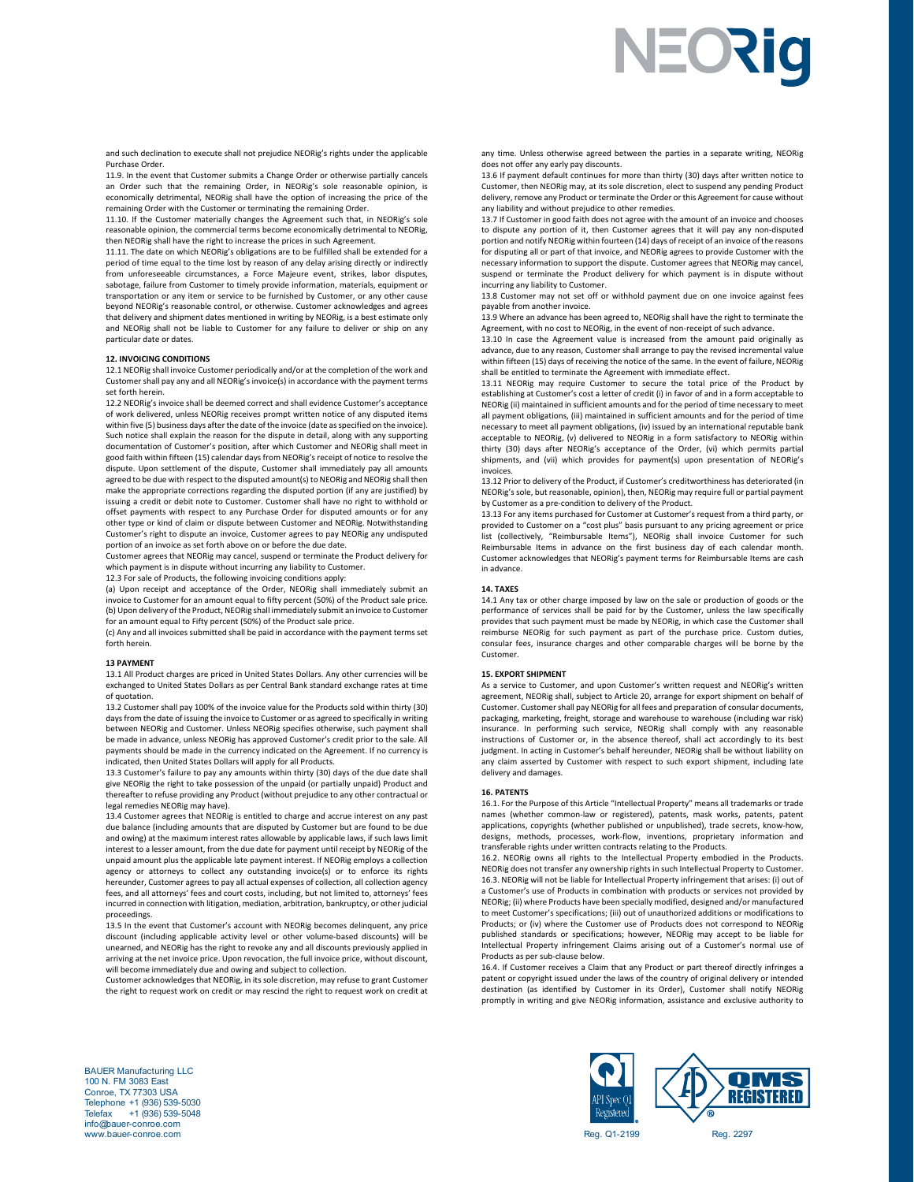# NEORIO

and such declination to execute shall not prejudice NEORig's rights under the applicable Purchase Order.

11.9. In the event that Customer submits a Change Order or otherwise partially cancels an Order such that the remaining Order, in NEORig's sole reasonable opinion, is economically detrimental, NEORig shall have the option of increasing the price of the remaining Order with the Customer or terminating the remaining Order.

11.10. If the Customer materially changes the Agreement such that, in NEORig's sole reasonable opinion, the commercial terms become economically detrimental to NEORig, then NEORig shall have the right to increase the prices in such Agreement.

11.11. The date on which NEORig's obligations are to be fulfilled shall be extended for a period of time equal to the time lost by reason of any delay arising directly or indirectly from unforeseeable circumstances, a Force Majeure event, strikes, labor disputes, sabotage, failure from Customer to timely provide information, materials, equipment or transportation or any item or service to be furnished by Customer, or any other cause beyond NEORig's reasonable control, or otherwise. Customer acknowledges and agrees that delivery and shipment dates mentioned in writing by NEORig, is a best estimate only and NEORig shall not be liable to Customer for any failure to deliver or ship on any particular date or dates.

# **12. INVOICING CONDITIONS**

12.1 NEORig shall invoice Customer periodically and/or at the completion of the work and Customer shall pay any and all NEORig's invoice(s) in accordance with the payment terms set forth herein.

12.2 NEORig's invoice shall be deemed correct and shall evidence Customer's acceptance of work delivered, unless NEORig receives prompt written notice of any disputed items within five (5) business days after the date of the invoice (date as specified on the invoice). Such notice shall explain the reason for the dispute in detail, along with any supporting documentation of Customer's position, after which Customer and NEORig shall meet in good faith within fifteen (15) calendar days from NEORig's receipt of notice to resolve the dispute. Upon settlement of the dispute, Customer shall immediately pay all amounts agreed to be due with respect to the disputed amount(s) to NEORig and NEORig shall then make the appropriate corrections regarding the disputed portion (if any are justified) by issuing a credit or debit note to Customer. Customer shall have no right to withhold or offset payments with respect to any Purchase Order for disputed amounts or for any other type or kind of claim or dispute between Customer and NEORig. Notwithstanding Customer's right to dispute an invoice, Customer agrees to pay NEORig any undisputed portion of an invoice as set forth above on or before the due date.

Customer agrees that NEORig may cancel, suspend or terminate the Product delivery for which payment is in dispute without incurring any liability to Customer.

12.3 For sale of Products, the following invoicing conditions apply:

(a) Upon receipt and acceptance of the Order, NEORig shall immediately submit an invoice to Customer for an amount equal to fifty percent (50%) of the Product sale price. (b) Upon delivery of the Product, NEORig shall immediately submit an invoice to Customer for an amount equal to Fifty percent (50%) of the Product sale price.

(c) Any and all invoices submitted shall be paid in accordance with the payment terms set forth herein.

#### **13 PAYMENT**

13.1 All Product charges are priced in United States Dollars. Any other currencies will be exchanged to United States Dollars as per Central Bank standard exchange rates at time of quotation.

13.2 Customer shall pay 100% of the invoice value for the Products sold within thirty (30) days from the date of issuing the invoice to Customer or as agreed to specifically in writing between NEORig and Customer. Unless NEORig specifies otherwise, such payment shall be made in advance, unless NEORig has approved Customer's credit prior to the sale. All payments should be made in the currency indicated on the Agreement. If no currency is indicated, then United States Dollars will apply for all Products.

13.3 Customer's failure to pay any amounts within thirty (30) days of the due date shall give NEORig the right to take possession of the unpaid (or partially unpaid) Product and thereafter to refuse providing any Product (without prejudice to any other contractual or legal remedies NEORig may have).

13.4 Customer agrees that NEORig is entitled to charge and accrue interest on any past due balance (including amounts that are disputed by Customer but are found to be due and owing) at the maximum interest rates allowable by applicable laws, if such laws limit interest to a lesser amount, from the due date for payment until receipt by NEORig of the unpaid amount plus the applicable late payment interest. If NEORig employs a collection agency or attorneys to collect any outstanding invoice(s) or to enforce its rights hereunder, Customer agrees to pay all actual expenses of collection, all collection agency fees, and all attorneys' fees and court costs, including, but not limited to, attorneys' fees incurred in connection with litigation, mediation, arbitration, bankruptcy, or other judicial proceedings.

13.5 In the event that Customer's account with NEORig becomes delinquent, any price discount (including applicable activity level or other volume‐based discounts) will be unearned, and NEORig has the right to revoke any and all discounts previously applied in arriving at the net invoice price. Upon revocation, the full invoice price, without discount, will become immediately due and owing and subject to collection.

Customer acknowledges that NEORig, in its sole discretion, may refuse to grant Customer the right to request work on credit or may rescind the right to request work on credit at any time. Unless otherwise agreed between the parties in a separate writing, NEORig does not offer any early pay discounts.

13.6 If payment default continues for more than thirty (30) days after written notice to Customer, then NEORig may, at its sole discretion, elect to suspend any pending Product delivery, remove any Product or terminate the Order or this Agreement for cause without any liability and without prejudice to other remedies.

13.7 If Customer in good faith does not agree with the amount of an invoice and chooses to dispute any portion of it, then Customer agrees that it will pay any non-disputed portion and notify NEORig within fourteen (14) days of receipt of an invoice of the reasons for disputing all or part of that invoice, and NEORig agrees to provide Customer with the necessary information to support the dispute. Customer agrees that NEORig may cancel, suspend or terminate the Product delivery for which payment is in dispute without incurring any liability to Customer.

13.8 Customer may not set off or withhold payment due on one invoice against fees payable from another invoice.

13.9 Where an advance has been agreed to, NEORig shall have the right to terminate the Agreement, with no cost to NEORig, in the event of non‐receipt of such advance.

13.10 In case the Agreement value is increased from the amount paid originally as advance, due to any reason, Customer shall arrange to pay the revised incremental value within fifteen (15) days of receiving the notice of the same. In the event of failure, NEORig shall be entitled to terminate the Agreement with immediate effect.

13.11 NEORig may require Customer to secure the total price of the Product by establishing at Customer's cost a letter of credit (i) in favor of and in a form acceptable to NEORig (ii) maintained in sufficient amounts and for the period of time necessary to meet all payment obligations, (iii) maintained in sufficient amounts and for the period of time necessary to meet all payment obligations, (iv) issued by an international reputable bank acceptable to NEORig, (v) delivered to NEORig in a form satisfactory to NEORig within thirty (30) days after NEORig's acceptance of the Order, (vi) which permits partial shipments, and (vii) which provides for payment(s) upon presentation of NEORig's invoices.

13.12 Prior to delivery of the Product, if Customer's creditworthiness has deteriorated (in NEORig's sole, but reasonable, opinion), then, NEORig may require full or partial payment by Customer as a pre‐condition to delivery of the Product.

13.13 For any items purchased for Customer at Customer's request from a third party, or provided to Customer on a "cost plus" basis pursuant to any pricing agreement or price list (collectively, "Reimbursable Items"), NEORig shall invoice Customer for such Reimbursable Items in advance on the first business day of each calendar month. Customer acknowledges that NEORig's payment terms for Reimbursable Items are cash in advance.

#### **14. TAXES**

14.1 Any tax or other charge imposed by law on the sale or production of goods or the performance of services shall be paid for by the Customer, unless the law specifically provides that such payment must be made by NEORig, in which case the Customer shall reimburse NEORig for such payment as part of the purchase price. Custom duties, consular fees, insurance charges and other comparable charges will be borne by the Customer.

# **15. EXPORT SHIPMENT**

As a service to Customer, and upon Customer's written request and NEORig's written agreement, NEORig shall, subject to Article 20, arrange for export shipment on behalf of Customer. Customer shall pay NEORig for all fees and preparation of consular documents, packaging, marketing, freight, storage and warehouse to warehouse (including war risk) insurance. In performing such service, NEORig shall comply with any reasonable instructions of Customer or, in the absence thereof, shall act accordingly to its best judgment. In acting in Customer's behalf hereunder, NEORig shall be without liability on any claim asserted by Customer with respect to such export shipment, including late delivery and damages.

#### **16. PATENTS**

16.1. For the Purpose of this Article "Intellectual Property" means all trademarks or trade names (whether common‐law or registered), patents, mask works, patents, patent applications, copyrights (whether published or unpublished), trade secrets, know‐how, designs, methods, processes, work‐flow, inventions, proprietary information and transferable rights under written contracts relating to the Products.

16.2. NEORig owns all rights to the Intellectual Property embodied in the Products. NEORig does not transfer any ownership rights in such Intellectual Property to Customer. 16.3. NEORig will not be liable for Intellectual Property infringement that arises: (i) out of a Customer's use of Products in combination with products or services not provided by NEORig; (ii) where Products have been specially modified, designed and/or manufactured to meet Customer's specifications; (iii) out of unauthorized additions or modifications to Products; or (iv) where the Customer use of Products does not correspond to NEORig published standards or specifications; however, NEORig may accept to be liable for Intellectual Property infringement Claims arising out of a Customer's normal use of Products as per sub‐clause below.

16.4. If Customer receives a Claim that any Product or part thereof directly infringes a patent or copyright issued under the laws of the country of original delivery or intended destination (as identified by Customer in its Order), Customer shall notify NEORig promptly in writing and give NEORig information, assistance and exclusive authority to